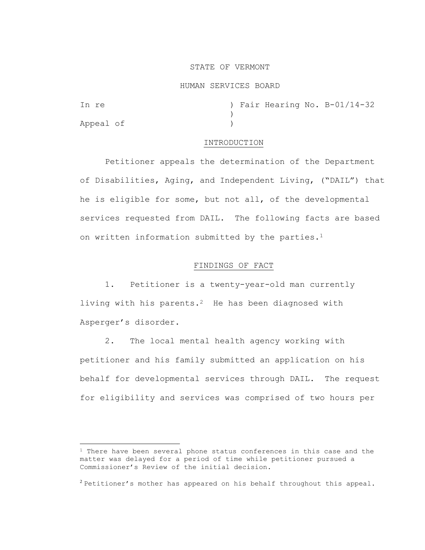# STATE OF VERMONT

#### HUMAN SERVICES BOARD

| In re     |  |  | ) Fair Hearing No. B-01/14-32 |
|-----------|--|--|-------------------------------|
|           |  |  |                               |
| Appeal of |  |  |                               |

### INTRODUCTION

Petitioner appeals the determination of the Department of Disabilities, Aging, and Independent Living, ("DAIL") that he is eligible for some, but not all, of the developmental services requested from DAIL. The following facts are based on written information submitted by the parties.<sup>1</sup>

# FINDINGS OF FACT

1. Petitioner is a twenty-year-old man currently living with his parents.2 He has been diagnosed with Asperger's disorder.

2. The local mental health agency working with petitioner and his family submitted an application on his behalf for developmental services through DAIL. The request for eligibility and services was comprised of two hours per

<sup>2</sup> Petitioner's mother has appeared on his behalf throughout this appeal.

 $1$  There have been several phone status conferences in this case and the matter was delayed for a period of time while petitioner pursued a Commissioner's Review of the initial decision.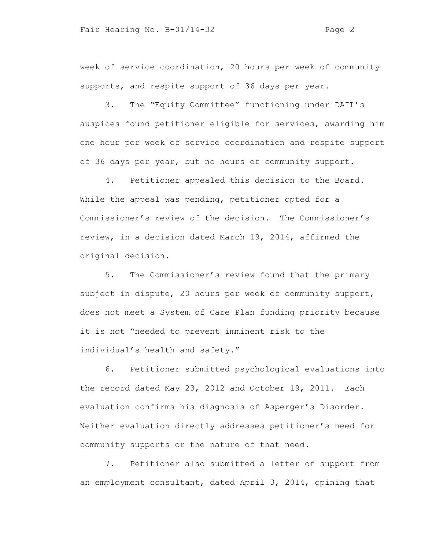week of service coordination, 20 hours per week of community supports, and respite support of 36 days per year.

3. The "Equity Committee" functioning under DAIL's auspices found petitioner eligible for services, awarding him one hour per week of service coordination and respite support of 36 days per year, but no hours of community support.

4. Petitioner appealed this decision to the Board. While the appeal was pending, petitioner opted for a Commissioner's review of the decision. The Commissioner's review, in a decision dated March 19, 2014, affirmed the original decision.

5. The Commissioner's review found that the primary subject in dispute, 20 hours per week of community support, does not meet a System of Care Plan funding priority because it is not "needed to prevent imminent risk to the individual's health and safety."

6. Petitioner submitted psychological evaluations into the record dated May 23, 2012 and October 19, 2011. Each evaluation confirms his diagnosis of Asperger's Disorder. Neither evaluation directly addresses petitioner's need for community supports or the nature of that need.

7. Petitioner also submitted a letter of support from an employment consultant, dated April 3, 2014, opining that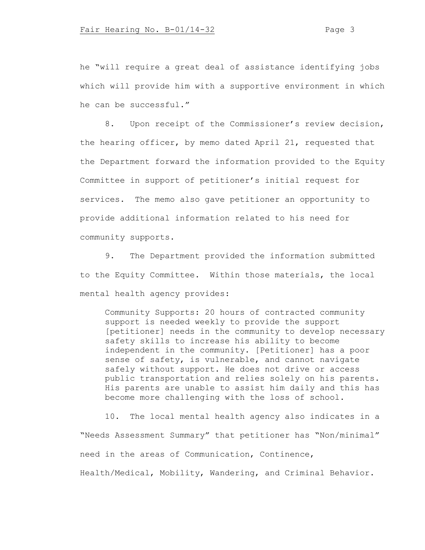he "will require a great deal of assistance identifying jobs which will provide him with a supportive environment in which he can be successful."

8. Upon receipt of the Commissioner's review decision, the hearing officer, by memo dated April 21, requested that the Department forward the information provided to the Equity Committee in support of petitioner's initial request for services. The memo also gave petitioner an opportunity to provide additional information related to his need for community supports.

9. The Department provided the information submitted to the Equity Committee. Within those materials, the local mental health agency provides:

Community Supports: 20 hours of contracted community support is needed weekly to provide the support [petitioner] needs in the community to develop necessary safety skills to increase his ability to become independent in the community. [Petitioner] has a poor sense of safety, is vulnerable, and cannot navigate safely without support. He does not drive or access public transportation and relies solely on his parents. His parents are unable to assist him daily and this has become more challenging with the loss of school.

10. The local mental health agency also indicates in a "Needs Assessment Summary" that petitioner has "Non/minimal" need in the areas of Communication, Continence, Health/Medical, Mobility, Wandering, and Criminal Behavior.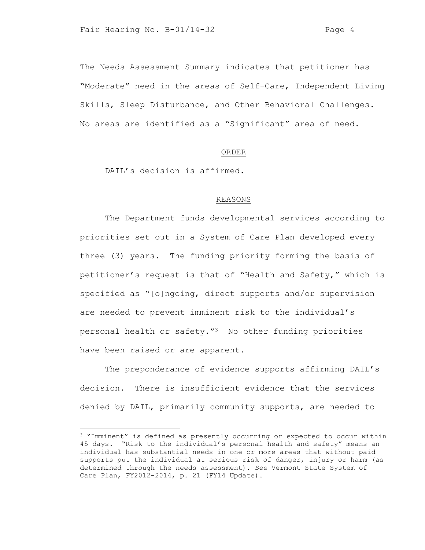The Needs Assessment Summary indicates that petitioner has "Moderate" need in the areas of Self-Care, Independent Living Skills, Sleep Disturbance, and Other Behavioral Challenges. No areas are identified as a "Significant" area of need.

### ORDER

DAIL's decision is affirmed.

# REASONS

The Department funds developmental services according to priorities set out in a System of Care Plan developed every three (3) years. The funding priority forming the basis of petitioner's request is that of "Health and Safety," which is specified as "[o]ngoing, direct supports and/or supervision are needed to prevent imminent risk to the individual's personal health or safety."3 No other funding priorities have been raised or are apparent.

The preponderance of evidence supports affirming DAIL's decision. There is insufficient evidence that the services denied by DAIL, primarily community supports, are needed to

<sup>3</sup> "Imminent" is defined as presently occurring or expected to occur within 45 days. "Risk to the individual's personal health and safety" means an individual has substantial needs in one or more areas that without paid supports put the individual at serious risk of danger, injury or harm (as determined through the needs assessment). *See* Vermont State System of Care Plan, FY2012-2014, p. 21 (FY14 Update).